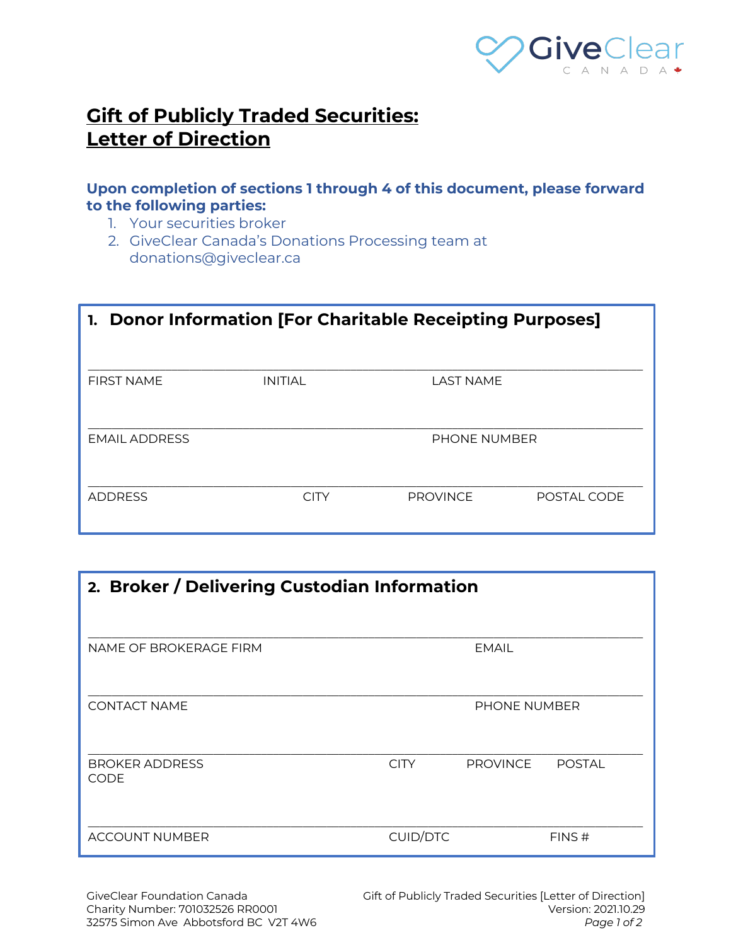

## **Gift of Publicly Traded Securities: Letter of Direction**

## **Upon completion of sections 1 through 4 of this document, please forward to the following parties:**

- 1. Your securities broker
- 2. GiveClear Canada's Donations Processing team at donations@giveclear.ca

| 1. Donor Information [For Charitable Receipting Purposes] |                |                     |             |  |
|-----------------------------------------------------------|----------------|---------------------|-------------|--|
| <b>FIRST NAME</b>                                         | <b>INITIAL</b> | <b>LAST NAME</b>    |             |  |
| <b>EMAIL ADDRESS</b>                                      |                | <b>PHONE NUMBER</b> |             |  |
| <b>ADDRESS</b>                                            | <b>CITY</b>    | <b>PROVINCE</b>     | POSTAL CODE |  |

| 2. Broker / Delivering Custodian Information |                 |                 |               |
|----------------------------------------------|-----------------|-----------------|---------------|
| NAME OF BROKERAGE FIRM                       |                 | <b>EMAIL</b>    |               |
| <b>CONTACT NAME</b>                          |                 | PHONE NUMBER    |               |
| <b>BROKER ADDRESS</b><br><b>CODE</b>         | <b>CITY</b>     | <b>PROVINCE</b> | <b>POSTAL</b> |
| <b>ACCOUNT NUMBER</b>                        | <b>CUID/DTC</b> |                 | FINS#         |